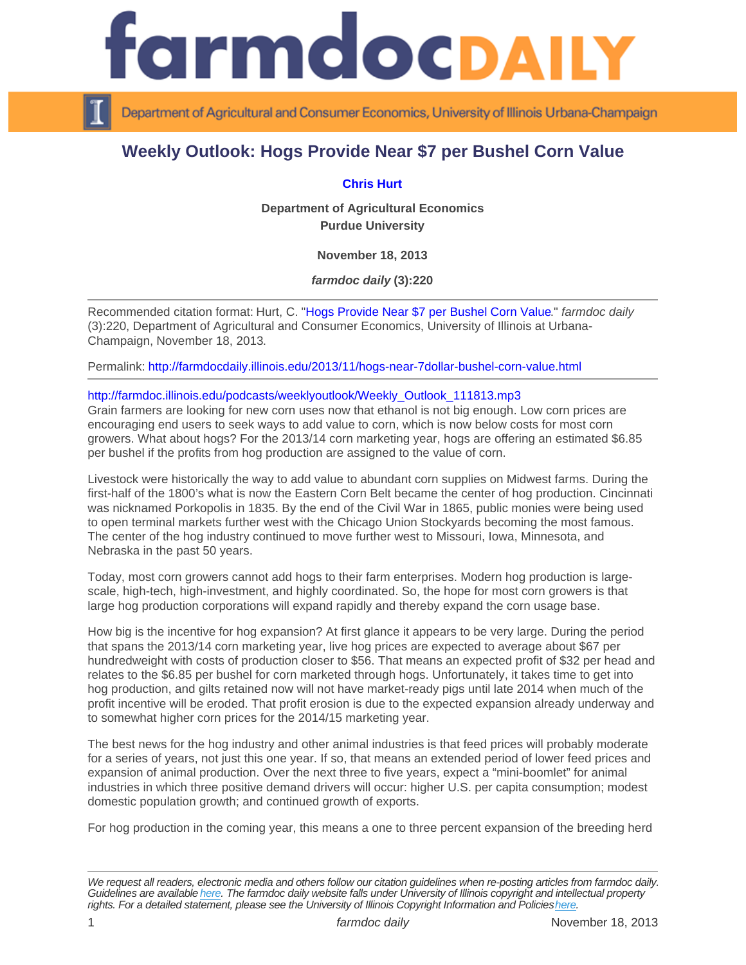## Weekly Outlook: Hogs Provide Near \$7 per Bushel Corn Value

## [Chris Hurt](https://ag.purdue.edu/agecon/Pages/Profile.aspx?strAlias=hurtc)

Department of Agricultural Economics Purdue University

November 18, 2013

farmdoc daily (3):220

Recommended citation format: Hurt, C. ["Hogs Provide Near \\$7 per Bushel Corn Value.](http://farmdocdaily.illinois.edu/2013/11/hogs-near-7dollar-bushel-corn-value.html)" farmdoc daily (3):220, Department of Agricultural and Consumer Economics, University of Illinois at Urbana-Champaign, November 18, 2013.

Permalink:<http://farmdocdaily.illinois.edu/2013/11/hogs-near-7dollar-bushel-corn-value.html>

## [http://farmdoc.illinois.edu/podcasts/weeklyoutlook/Weekly\\_Outlook\\_111813.mp3](http://farmdoc.illinois.edu/podcasts/weeklyoutlook/Weekly_Outlook_111813.mp3)

Grain farmers are looking for new corn uses now that ethanol is not big enough. Low corn prices are encouraging end users to seek ways to add value to corn, which is now below costs for most corn growers. What about hogs? For the 2013/14 corn marketing year, hogs are offering an estimated \$6.85 per bushel if the profits from hog production are assigned to the value of corn.

Livestock were historically the way to add value to abundant corn supplies on Midwest farms. During the first-half of the 1800's what is now the Eastern Corn Belt became the center of hog production. Cincinnati was nicknamed Porkopolis in 1835. By the end of the Civil War in 1865, public monies were being used to open terminal markets further west with the Chicago Union Stockyards becoming the most famous. The center of the hog industry continued to move further west to Missouri, Iowa, Minnesota, and Nebraska in the past 50 years.

Today, most corn growers cannot add hogs to their farm enterprises. Modern hog production is largescale, high-tech, high-investment, and highly coordinated. So, the hope for most corn growers is that large hog production corporations will expand rapidly and thereby expand the corn usage base.

How big is the incentive for hog expansion? At first glance it appears to be very large. During the period that spans the 2013/14 corn marketing year, live hog prices are expected to average about \$67 per hundredweight with costs of production closer to \$56. That means an expected profit of \$32 per head and relates to the \$6.85 per bushel for corn marketed through hogs. Unfortunately, it takes time to get into hog production, and gilts retained now will not have market-ready pigs until late 2014 when much of the profit incentive will be eroded. That profit erosion is due to the expected expansion already underway and to somewhat higher corn prices for the 2014/15 marketing year.

The best news for the hog industry and other animal industries is that feed prices will probably moderate for a series of years, not just this one year. If so, that means an extended period of lower feed prices and expansion of animal production. Over the next three to five years, expect a "mini-boomlet" for animal industries in which three positive demand drivers will occur: higher U.S. per capita consumption; modest domestic population growth; and continued growth of exports.

For hog production in the coming year, this means a one to three percent expansion of the breeding herd

We request all readers, electronic media and others follow our citation guidelines when re-posting articles from farmdoc daily. Guidelines are available [here](http://farmdocdaily.illinois.edu/citationguide.html). The farmdoc daily website falls under University of Illinois copyright and intellectual property rights. For a detailed statement, please see the University of Illinois Copyright Information and Policies [here.](https://techservices.illinois.edu/office-cio)